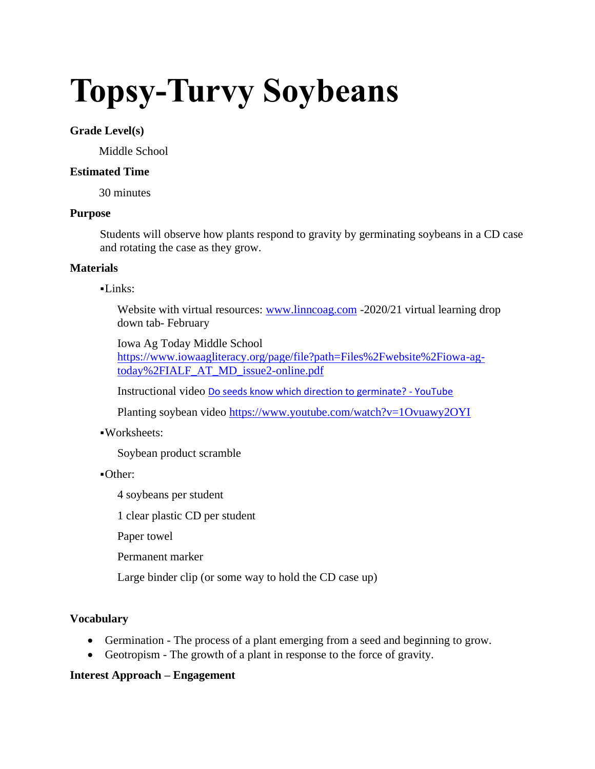# **Topsy-Turvy Soybeans**

# **Grade Level(s)**

Middle School

# **Estimated Time**

30 minutes

#### **Purpose**

Students will observe how plants respond to gravity by germinating soybeans in a CD case and rotating the case as they grow.

# **Materials**

#### $-Links:$

Website with virtual resources: [www.linncoag.com](http://www.linncoag.com/) -2020/21 virtual learning drop down tab- February

Iowa Ag Today Middle School [https://www.iowaagliteracy.org/page/file?path=Files%2Fwebsite%2Fiowa-ag](https://www.iowaagliteracy.org/page/file?path=Files%2Fwebsite%2Fiowa-ag-today%2FIALF_AT_MD_issue2-online.pdf)[today%2FIALF\\_AT\\_MD\\_issue2-online.pdf](https://www.iowaagliteracy.org/page/file?path=Files%2Fwebsite%2Fiowa-ag-today%2FIALF_AT_MD_issue2-online.pdf)

Instructional video [Do seeds know which direction to germinate? -](https://www.youtube.com/watch?v=0rX1uDsf2P4) YouTube

Planting soybean video<https://www.youtube.com/watch?v=1Ovuawy2OYI>

# ▪Worksheets:

Soybean product scramble

#### ▪Other:

4 soybeans per student

1 clear plastic CD per student

Paper towel

Permanent marker

Large binder clip (or some way to hold the CD case up)

# **Vocabulary**

- Germination The process of a plant emerging from a seed and beginning to grow.
- Geotropism The growth of a plant in response to the force of gravity.

# **Interest Approach – Engagement**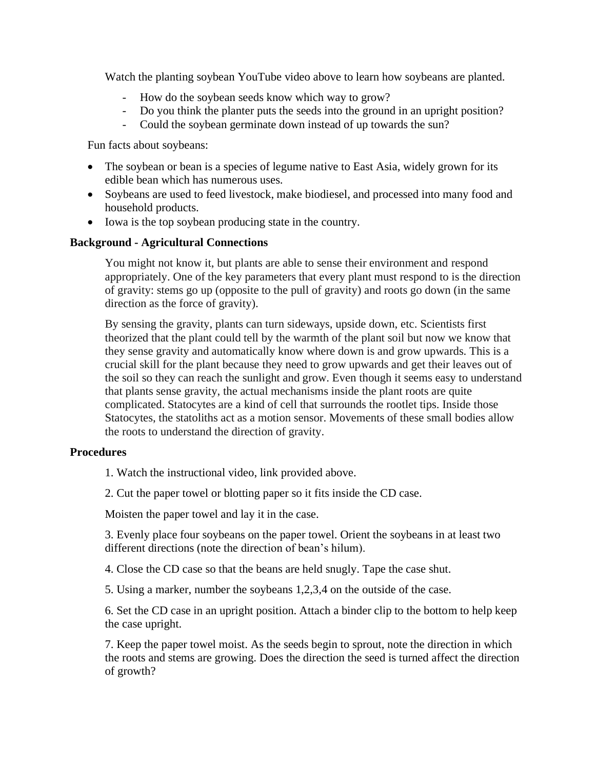Watch the planting soybean YouTube video above to learn how soybeans are planted.

- How do the soybean seeds know which way to grow?
- Do you think the planter puts the seeds into the ground in an upright position?
- Could the soybean germinate down instead of up towards the sun?

Fun facts about soybeans:

- The soybean or bean is a species of legume native to East Asia, widely grown for its edible bean which has numerous uses.
- Soybeans are used to feed livestock, make biodiesel, and processed into many food and household products.
- Iowa is the top soybean producing state in the country.

#### **Background - Agricultural Connections**

You might not know it, but plants are able to sense their environment and respond appropriately. One of the key parameters that every plant must respond to is the direction of gravity: stems go up (opposite to the pull of gravity) and roots go down (in the same direction as the force of gravity).

By sensing the gravity, plants can turn sideways, upside down, etc. Scientists first theorized that the plant could tell by the warmth of the plant soil but now we know that they sense gravity and automatically know where down is and grow upwards. This is a crucial skill for the plant because they need to grow upwards and get their leaves out of the soil so they can reach the sunlight and grow. Even though it seems easy to understand that plants sense gravity, the actual mechanisms inside the plant roots are quite complicated. Statocytes are a kind of cell that surrounds the rootlet tips. Inside those Statocytes, the statoliths act as a motion sensor. Movements of these small bodies allow the roots to understand the direction of gravity.

#### **Procedures**

1. Watch the instructional video, link provided above.

2. Cut the paper towel or blotting paper so it fits inside the CD case.

Moisten the paper towel and lay it in the case.

3. Evenly place four soybeans on the paper towel. Orient the soybeans in at least two different directions (note the direction of bean's hilum).

4. Close the CD case so that the beans are held snugly. Tape the case shut.

5. Using a marker, number the soybeans 1,2,3,4 on the outside of the case.

6. Set the CD case in an upright position. Attach a binder clip to the bottom to help keep the case upright.

7. Keep the paper towel moist. As the seeds begin to sprout, note the direction in which the roots and stems are growing. Does the direction the seed is turned affect the direction of growth?